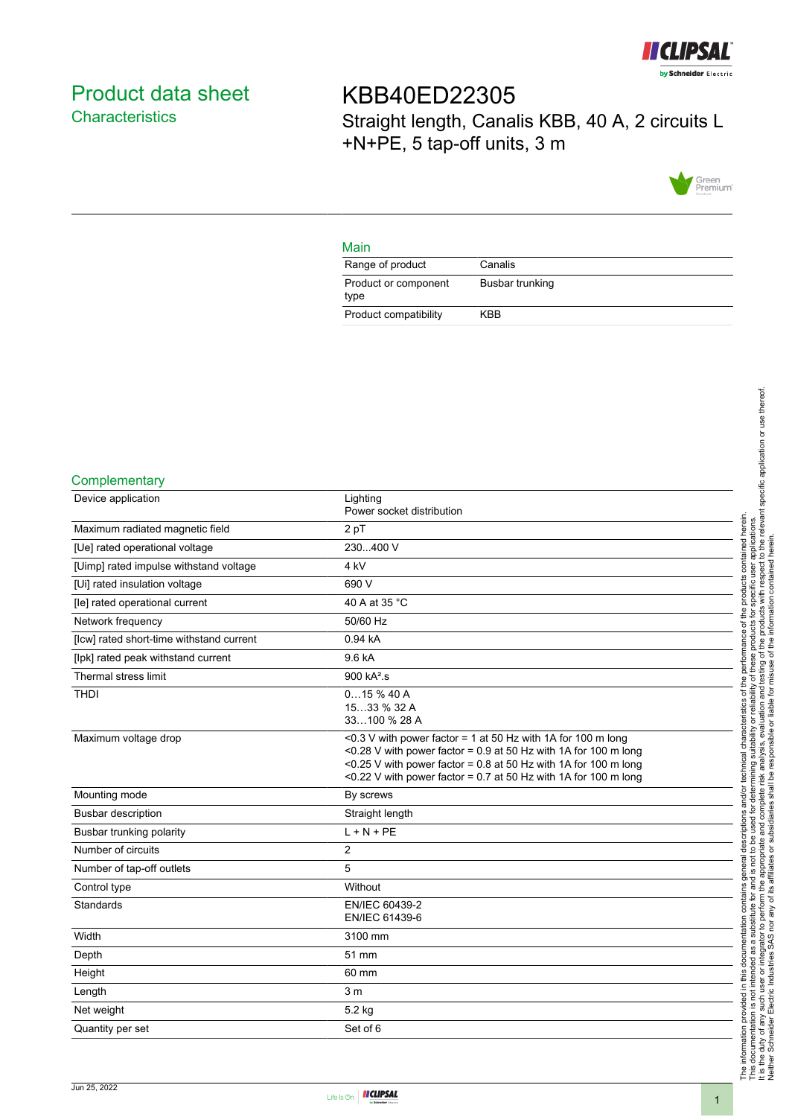

# <span id="page-0-0"></span>Product data sheet **Characteristics**

KBB40ED22305 Straight length, Canalis KBB, 40 A, 2 circuits L +N+PE, 5 tap-off units, 3 m



### Main

| Range of product             | Canalis         |
|------------------------------|-----------------|
| Product or component<br>type | Busbar trunking |
| Product compatibility        | KBB             |

#### **Complementary**

| Device application                       | Lighting<br>Power socket distribution                                                                                                                                                                                                                                     |
|------------------------------------------|---------------------------------------------------------------------------------------------------------------------------------------------------------------------------------------------------------------------------------------------------------------------------|
| Maximum radiated magnetic field          | 2 pT                                                                                                                                                                                                                                                                      |
| [Ue] rated operational voltage           | 230400 V                                                                                                                                                                                                                                                                  |
| [Uimp] rated impulse withstand voltage   | 4 kV                                                                                                                                                                                                                                                                      |
| [Ui] rated insulation voltage            | 690 V                                                                                                                                                                                                                                                                     |
| [le] rated operational current           | 40 A at 35 °C                                                                                                                                                                                                                                                             |
| Network frequency                        | 50/60 Hz                                                                                                                                                                                                                                                                  |
| [lcw] rated short-time withstand current | 0.94 kA                                                                                                                                                                                                                                                                   |
| [lpk] rated peak withstand current       | 9.6 kA                                                                                                                                                                                                                                                                    |
| Thermal stress limit                     | 900 kA <sup>2</sup> .s                                                                                                                                                                                                                                                    |
| <b>THDI</b>                              | 015%40A<br>1533 % 32 A<br>33100 % 28 A                                                                                                                                                                                                                                    |
| Maximum voltage drop                     | <0.3 V with power factor = 1 at 50 Hz with 1A for 100 m long<br><0.28 V with power factor = $0.9$ at 50 Hz with 1A for 100 m long<br><0.25 V with power factor = $0.8$ at 50 Hz with 1A for 100 m long<br><0.22 V with power factor = 0.7 at 50 Hz with 1A for 100 m long |
| Mounting mode                            | By screws                                                                                                                                                                                                                                                                 |
| <b>Busbar description</b>                | Straight length                                                                                                                                                                                                                                                           |
| Busbar trunking polarity                 | $L + N + PE$                                                                                                                                                                                                                                                              |
| Number of circuits                       | 2                                                                                                                                                                                                                                                                         |
| Number of tap-off outlets                | 5                                                                                                                                                                                                                                                                         |
| Control type                             | Without                                                                                                                                                                                                                                                                   |
| Standards                                | EN/IEC 60439-2<br>EN/IEC 61439-6                                                                                                                                                                                                                                          |
| Width                                    | 3100 mm                                                                                                                                                                                                                                                                   |
| Depth                                    | 51 mm                                                                                                                                                                                                                                                                     |
| Height                                   | 60 mm                                                                                                                                                                                                                                                                     |
| Length                                   | 3 <sub>m</sub>                                                                                                                                                                                                                                                            |
| Net weight                               | 5.2 kg                                                                                                                                                                                                                                                                    |
| Quantity per set                         | Set of 6                                                                                                                                                                                                                                                                  |